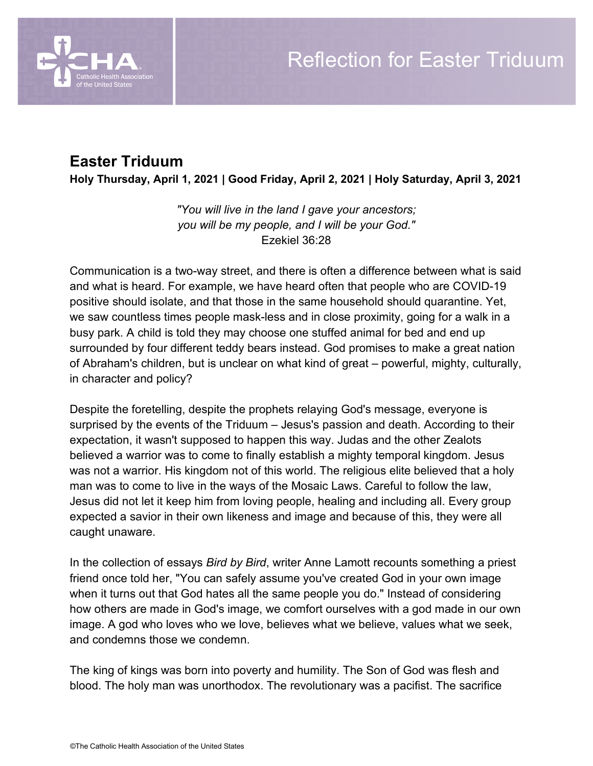

## **Easter Triduum**

**Holy Thursday, April 1, 2021 | Good Friday, April 2, 2021 | Holy Saturday, April 3, 2021**

*"You will live in the land I gave your ancestors; you will be my people, and I will be your God."* Ezekiel 36:28

Communication is a two-way street, and there is often a difference between what is said and what is heard. For example, we have heard often that people who are COVID-19 positive should isolate, and that those in the same household should quarantine. Yet, we saw countless times people mask-less and in close proximity, going for a walk in a busy park. A child is told they may choose one stuffed animal for bed and end up surrounded by four different teddy bears instead. God promises to make a great nation of Abraham's children, but is unclear on what kind of great – powerful, mighty, culturally, in character and policy?

Despite the foretelling, despite the prophets relaying God's message, everyone is surprised by the events of the Triduum – Jesus's passion and death. According to their expectation, it wasn't supposed to happen this way. Judas and the other Zealots believed a warrior was to come to finally establish a mighty temporal kingdom. Jesus was not a warrior. His kingdom not of this world. The religious elite believed that a holy man was to come to live in the ways of the Mosaic Laws. Careful to follow the law, Jesus did not let it keep him from loving people, healing and including all. Every group expected a savior in their own likeness and image and because of this, they were all caught unaware.

In the collection of essays *Bird by Bird*, writer Anne Lamott recounts something a priest friend once told her, "You can safely assume you've created God in your own image when it turns out that God hates all the same people you do." Instead of considering how others are made in God's image, we comfort ourselves with a god made in our own image. A god who loves who we love, believes what we believe, values what we seek, and condemns those we condemn.

The king of kings was born into poverty and humility. The Son of God was flesh and blood. The holy man was unorthodox. The revolutionary was a pacifist. The sacrifice